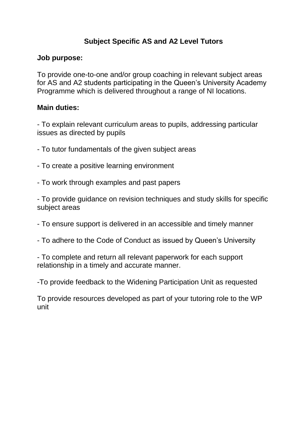### **Subject Specific AS and A2 Level Tutors**

### **Job purpose:**

To provide one-to-one and/or group coaching in relevant subject areas for AS and A2 students participating in the Queen's University Academy Programme which is delivered throughout a range of NI locations.

### **Main duties:**

- To explain relevant curriculum areas to pupils, addressing particular issues as directed by pupils

- To tutor fundamentals of the given subject areas
- To create a positive learning environment
- To work through examples and past papers

- To provide guidance on revision techniques and study skills for specific subject areas

- To ensure support is delivered in an accessible and timely manner
- To adhere to the Code of Conduct as issued by Queen's University

- To complete and return all relevant paperwork for each support relationship in a timely and accurate manner.

-To provide feedback to the Widening Participation Unit as requested

To provide resources developed as part of your tutoring role to the WP unit